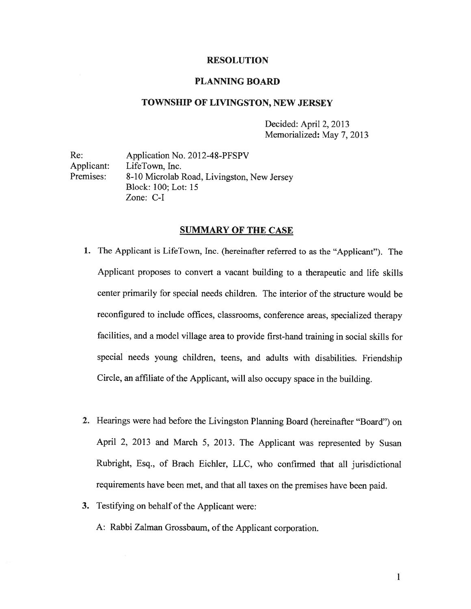# RESOLUTION

### PLANNING BOARD

## TOWNSHIP OF LIVINGSTON, NEW JERSEY

Decided: April 2, 2013 Memorialized: May 7, 2013

Re: Application No. 2012-48-PFSPV Applicant: LifeTown, Inc. Premises: 8-10 Microlab Road, Livingston, New Jersey Block: 100; Lot: 15 Zone: C-I

### SUMMARY OF THE CASE

- 1. The Applicant is LifeTown, Inc. (hereinafter referred to as the "Applicant"). The Applicant proposes to convert <sup>a</sup> vacant building to <sup>a</sup> therapeutic and life skills center primarily for special needs children. The interior of the structure would be reconfigured to include offices, classrooms, conference areas, specialized therapy facilities, and <sup>a</sup> model village area to provide first-hand training in social skills for special needs young children, teens, and adults with disabilities. Friendship Circle, an affiliate of the Applicant, will also occupy space in the building.
- 2. Hearings were had before the Livingston Planning Board (hereinafter "Board") on April 2, <sup>2013</sup> and March 5, 2013. The Applicant was represented by Susan Rubright, Esq., of Brach Eichler, LLC, who confirmed that all jurisdictional requirements have been met, and that all taxes on the premises have been paid.
- 3. Testifying on behalf of the Applicant were:

A: Rabbi Zalman Grossbaum, of the Applicant corporation.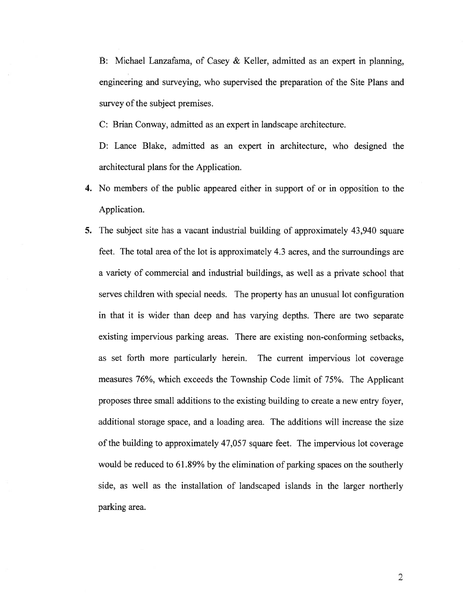B: Michael Lanzafama, of Casey & Keller, admitted as an exper<sup>t</sup> in planning, engineering and surveying, who supervised the preparation of the Site Plans and survey of the subject premises.

C: Brian Conway, admitted as an exper<sup>t</sup> in landscape architecture.

D: Lance Blake. admitted as an exper<sup>t</sup> in architecture, who designed the architectural plans for the Application.

- 4. No members of the public appeared either in suppor<sup>t</sup> of or in opposition to the Application.
- 5. The subject site has <sup>a</sup> vacant industrial building of approximately 43,940 square feet. The total area of the lot is approximately 4.3 acres, and the surroundings are <sup>a</sup> variety of commercial and industrial buildings, as well as <sup>a</sup> private school that serves children with special needs. The property has an unusual lot configuration in that it is wider than deep and has varying depths. There are two separate existing impervious parking areas. There are existing non-conforming setbacks, as set forth more particularly herein. The current impervious lot coverage measures 76%, which exceeds the Township Code limit of 75%. The Applicant proposes three small additions to the existing building to create <sup>a</sup> new entry foyer, additional storage space, and <sup>a</sup> loading area. The additions will increase the size of the building to approximately 47,057 square feet. The impervious lot coverage would be reduced to 61.89% by the elimination of parking spaces on the southerly side, as well as the installation of landscaped islands in the larger northerly parking area.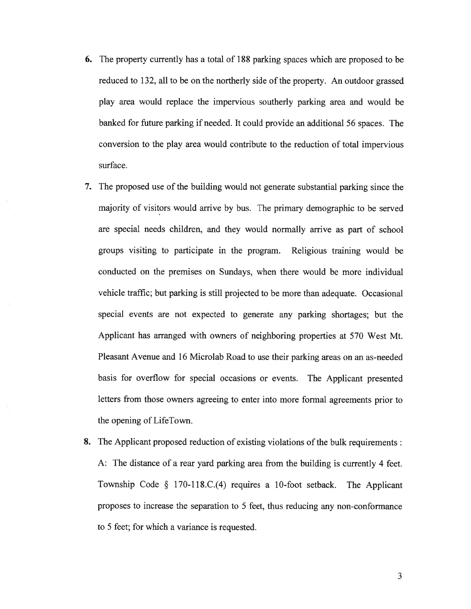- 6. The property currently has <sup>a</sup> total of 188 parking spaces which are proposed to be reduced to 132, all to be on the northerly side of the property. An outdoor grassed play area would replace the impervious southerly parking area and would be banked for future parking if needed. It could provide an additional 56 spaces. The conversion to the play area would contribute to the reduction of total impervious surface.
- 7. The proposed use of the building would not generate substantial parking since the majority of visitors would arrive by bus. The primary demographic to be served are special needs children, and they would normally arrive as par<sup>t</sup> of school groups visiting to participate in the program. Religious training would be conducted on the premises on Sundays, when there would be more individual vehicle traffic; but parking is still projected to be more than adequate. Occasional special events are not expected to generate any parking shortages; but the Applicant has arranged with owners of neighboring properties at 570 West Mt. Pleasant Avenue and 16 Microlab Road to use their parking areas on an as-needed basis for overflow for special occasions or events. The Applicant presented letters from those owners agreeing to enter into more formal agreements prior to the opening of LifeTown.
- 8. The Applicant proposed reduction of existing violations of the bulk requirements: A: The distance of <sup>a</sup> rear yard parking area from the building is currently <sup>4</sup> feet. Township Code § 170-118.C.(4) requires <sup>a</sup> 10-foot setback. The Applicant proposes to increase the separation to 5 feet, thus reducing any non-conformance to 5 feet; for which <sup>a</sup> variance is requested.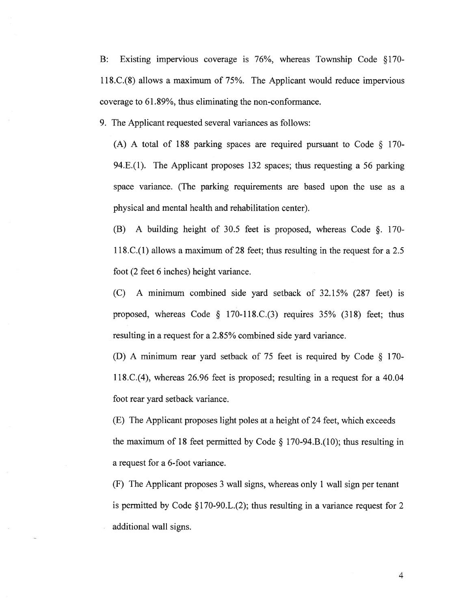B: Existing impervious coverage is 76%, whereas Township Code §170- 11 8.C.(8) allows <sup>a</sup> maximum of 75%. The Applicant would reduce impervious coverage to 61.89%, thus eliminating the non-conformance.

9. The Applicant requested several variances as follows:

(A) A total of 188 parking spaces are required pursuant to Code  $\S$  170-94.E.(1). The Applicant proposes 132 spaces; thus requesting <sup>a</sup> 56 parking space variance. (The parking requirements are based upon the use as <sup>a</sup> physical and mental health and rehabilitation center).

(B) <sup>A</sup> building height of 30.5 feet is proposed, whereas Code §. 170- 118.C.(1) allows <sup>a</sup> maximum of 28 feet; thus resulting in the reques<sup>t</sup> for <sup>a</sup> 2.5 foot (2 feet 6 inches) height variance.

(C) A minimum combined side yard setback of 32.15% (287 feet) is proposed, whereas Code  $\S$  170-118.C.(3) requires 35% (318) feet; thus resulting in <sup>a</sup> reques<sup>t</sup> for <sup>a</sup> 2.85% combined side yard variance.

(D) <sup>A</sup> minimum rear yar<sup>d</sup> setback of <sup>75</sup> feet is required by Code § 170- 118.C.(4), whereas 26.96 feet is proposed; resulting in <sup>a</sup> reques<sup>t</sup> for <sup>a</sup> 40.04 foot rear yard setback variance.

(E) The Applicant proposes light poles at <sup>a</sup> height of 24 feet, which exceeds the maximum of 18 feet permitted by Code  $\S$  170-94.B.(10); thus resulting in <sup>a</sup> reques<sup>t</sup> for <sup>a</sup> 6-foot variance.

(F) The Applicant proposes 3 wall signs, whereas only 1 wall sign per tenant is permitted by Code  $\S 170-90$ . L. (2); thus resulting in a variance request for 2 additional wall signs.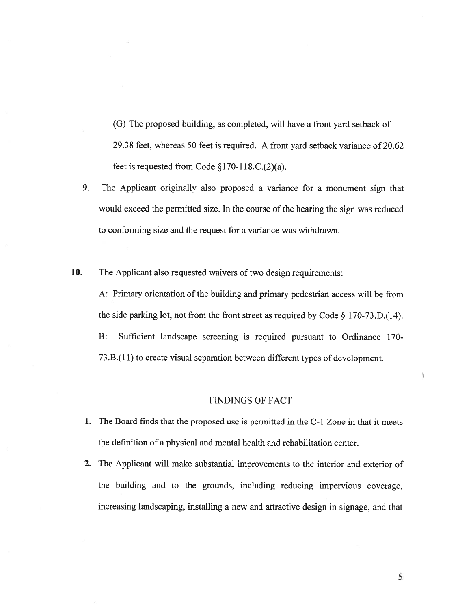(G) The proposed building, as completed, will have <sup>a</sup> front yard setback of 29.38 feet, whereas 50 feet is required. A front yard setback variance of 20.62 feet is requested from Code  $$170-118$ .C. $(2)(a)$ .

9. The Applicant originally also proposed <sup>a</sup> variance for <sup>a</sup> monument sign that would exceed the permitted size. In the course of the hearing the sign was reduced to conforming size and the reques<sup>t</sup> for <sup>a</sup> variance was withdrawn.

10. The Applicant also requested waivers of two design requirements:

A: Primary orientation of the building and primary pedestrian access will be from the side parking lot, not from the front street as required by Code § 170-73.D.(14). B: Sufficient landscape screening is required pursuan<sup>t</sup> to Ordinance 170- 73.B.(11) to create visual separation between different types of development.

# FINDINGS OF FACT

- 1. The Board finds that the proposed use is permitted in the C-1 Zone in that it meets the definition of <sup>a</sup> physical and mental health and rehabilitation center.
- 2. The Applicant will make substantial improvements to the interior and exterior of the building and to the grounds, including reducing impervious coverage, increasing landscaping, installing <sup>a</sup> new and attractive design in signage, and that

Ÿ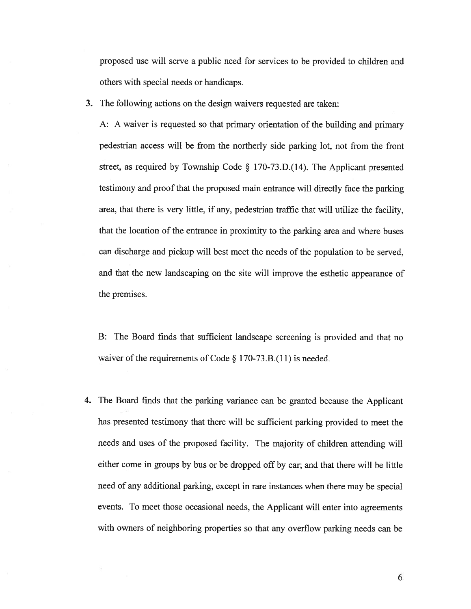proposed use will serve <sup>a</sup> public need for services to be provided to children and others with special needs or handicaps.

3. The following actions on the design waivers requested are taken:

A: <sup>A</sup> waiver is requested so that primary orientation of the building and primary pedestrian access will be from the northerly side parking lot, not from the front street, as required by Township Code § 170-73.D.(14). The Applicant presented testimony and proo<sup>f</sup> that the proposed main entrance will directly face the parking area, that there is very little, if any, pedestrian traffic that will utilize the facility, that the location of the entrance in proximity to the parking area and where buses can discharge and pickup will best meet the needs of the population to be served, and that the new landscaping on the site will improve the esthetic appearance of the premises.

B: The Board finds that sufficient landscape screening is provided and that no waiver of the requirements of Code  $\S 170-73.B.(11)$  is needed.

4. The Board finds that the parking variance can be granted because the Applicant has presented testimony that there will be sufficient parking provided to meet the needs and uses of the proposed facility. The majority of children attending will either come in groups by bus or be dropped off by car; and that there will be little need of any additional parking, excep<sup>t</sup> in rare instances when there may be special events. To meet those occasional needs, the Applicant will enter into agreements with owners of neighboring properties so that any overflow parking needs can be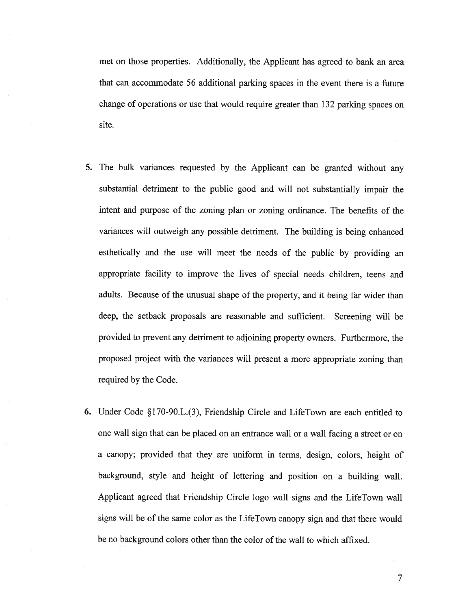met on those properties. Additionally, the Applicant has agreed to bank an area that can accommodate 56 additional parking spaces in the event there is <sup>a</sup> future change of operations or use that would require greater than 132 parking spaces on site.

- 5. The bulk variances requested by the Applicant can be granted without any substantial detriment to the public goo<sup>d</sup> and will not substantially impair the intent and purpose of the zoning plan or zoning ordinance. The benefits of the variances will outweigh any possible detriment. The building is being enhanced esthetically and the use will meet the needs of the public by providing an appropriate facility to improve the lives of special needs children, teens and adults. Because of the unusual shape of the property. and it being far wider than deep, the setback proposals are reasonable and sufficient. Screening will be provided to preven<sup>t</sup> any detriment to adjoining property owners. Furthermore, the proposed project with the variances will presen<sup>t</sup> <sup>a</sup> more appropriate zoning than required by the Code.
- 6. Under Code §170-90.L.(3), Friendship Circle and LifeTown are each entitled to one wall sign that can be <sup>p</sup>laced on an entrance wall or <sup>a</sup> wall facing <sup>a</sup> street or on <sup>a</sup> canopy; provided that they are uniform in terms, design, colors, height of background, style and height of lettering and position on <sup>a</sup> building wall. Applicant agreed that Friendship Circle logo wall signs and the LifeTown wall signs will be of the same color as the LifeTown canopy sign and that there would be no background colors other than the color of the wall to which affixed.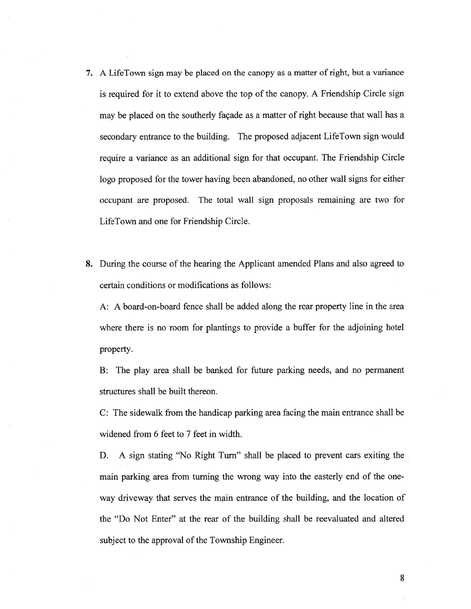- 7. <sup>A</sup> LifeTown sign may be <sup>p</sup>laced on the canopy as <sup>a</sup> matter of right, but <sup>a</sup> variance is required for it to extend above the top of the canopy. <sup>A</sup> Friendship Circle sign may be placed on the southerly façade as <sup>a</sup> matter of right because that wall has <sup>a</sup> secondary entrance to the building. The proposed adjacent LifeTown sign would require <sup>a</sup> variance as an additional sign for that occupant. The Friendship Circle logo proposed for the tower having been abandoned, no other wall signs for either occupan<sup>t</sup> are proposed. The total wall sign proposals remaining are two for LifeTown and one for Friendship Circle.
- 8. During the course of the hearing the Applicant amended Plans and also agreed to certain conditions or modifications as follows:

A: A board-on-board fence shall be added along the rear property line in the area where there is no room for plantings to provide a buffer for the adjoining hotel property.

B: The play area shall be banked for future parking needs, and no permanen<sup>t</sup> structures shall be built thereon.

C: The sidewalk from the handicap parking area facing the main entrance shall be widened from 6 feet to 7 feet in width.

D. A sign stating "No Right Turn" shall be placed to preven<sup>t</sup> cars exiting the main parking area from turning the wrong way into the easterly end of the one way driveway that serves the main entrance of the building, and the location of the "Do Not Enter" at the rear of the building shall be reevaluated and altered subject to the approval of the Township Engineer.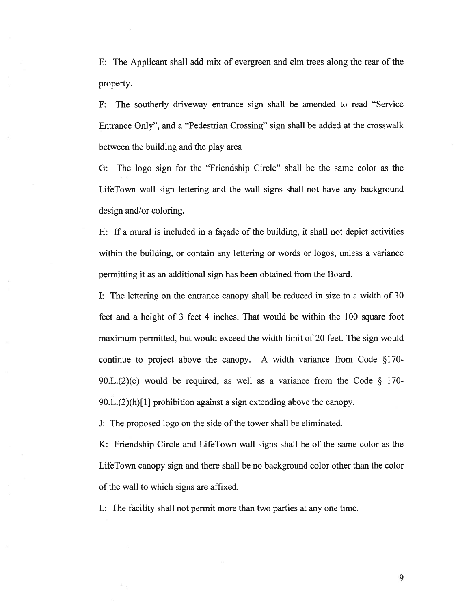E: The Applicant shall add mix of evergreen and elm trees along the rear of the property.

F: The southerly driveway entrance sign shall be amended to read "Service Entrance Only", and <sup>a</sup> "Pedestrian Crossing" sign shall be added at the crosswalk between the building and the play area

G: The logo sign for the "Friendship Circle" shall be the same color as the LifeTown wall sign lettering and the wall signs shall not have any background design and/or coloring.

H: If <sup>a</sup> mural is included in <sup>a</sup> façade of the building, it shall not depict activities within the building, or contain any lettering or words or logos, unless <sup>a</sup> variance permitting it as an additional sign has been obtained from the Board.

I: The lettering on the entrance canopy shall be reduced in size to <sup>a</sup> width of 30 feet and <sup>a</sup> height of 3 feet 4 inches. That would be within the 100 square foot maximum permitted, but would exceed the width limit of 20 feet. The sign would continue to project above the canopy. A width variance from Code §170- 90.L.(2)(c) would be required, as well as a variance from the Code  $\S$  170- $90.L.(2)(h)[1]$  prohibition against a sign extending above the canopy.

J: The proposed logo on the side of the tower shall be eliminated.

K: Friendship Circle and LifeTown wall signs shall be of the same color as the LifeTown canopy sign and there shall be no background color other than the color of the wall to which signs are affixed.

L: The facility shall not permit more than two parties at any one time.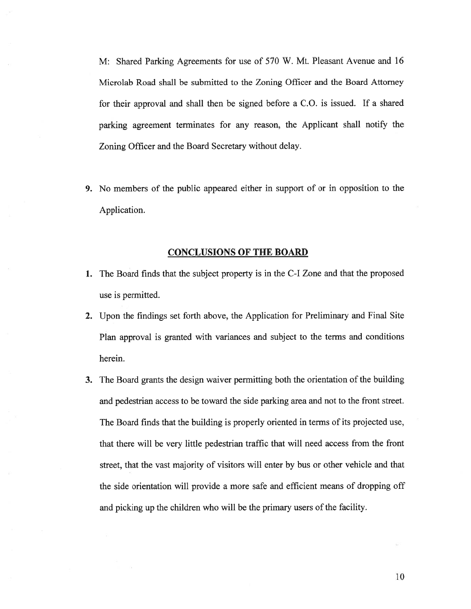M: Shared Parking Agreements for use of 570 W. Mt. Pleasant Avenue and 16 Microlab Road shall be submitted to the Zoning Officer and the Board Attorney for their approval and shall then be signed before <sup>a</sup> C.O. is issued. If <sup>a</sup> shared parking agreemen<sup>t</sup> terminates for any reason, the Applicant shall notify the Zoning Officer and the Board Secretary without delay.

9. No members of the public appeared either in suppor<sup>t</sup> of or in opposition to the Application.

#### CONCLUSIONS OF THE BOARD

- 1. The Board finds that the subject property is in the C-I Zone and that the proposed use is permitted.
- 2. Upon the findings set forth above, the Application for Preliminary and Final Site Plan approval is granted with variances and subject to the terms and conditions herein.
- 3. The Board grants the design waiver permitting both the orientation of the building and pedestrian access to be toward the side parking area and not to the front street. The Board finds that the building is properly oriented in terms of its projected use, that there will be very little pedestrian traffic that will need access from the front street, that the vast majority of visitors will enter by bus or other vehicle and that the side orientation will provide <sup>a</sup> more safe and efficient means of dropping off and picking up the children who will be the primary users of the facility.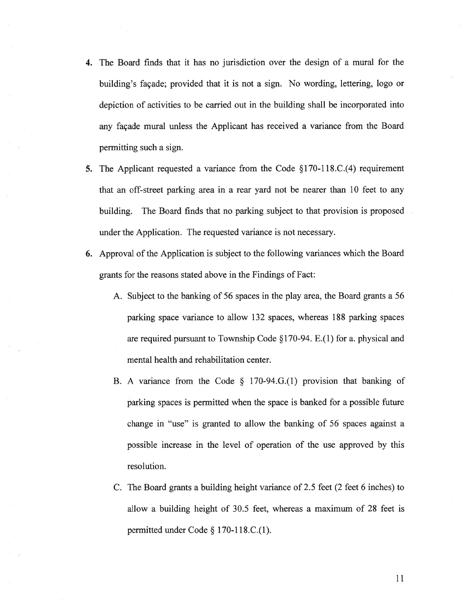- 4. The Board finds that it has no jurisdiction over the design of <sup>a</sup> mural for the building's façade; provided that it is not <sup>a</sup> sign. No wording, lettering, logo or depiction of activities to be carried out in the building shall be incorporated into any façade mural unless the Applicant has received <sup>a</sup> variance from the Board permitting such <sup>a</sup> sign.
- 5. The Applicant requested <sup>a</sup> variance from the Code §170-118.C.(4) requirement that an off-street parking area in <sup>a</sup> rear yard not be nearer than 10 feet to any building. The Board finds that no parking subject to that provision is proposed under the Application. The requested variance is not necessary.
- 6. Approval of the Application is subject to the following variances which the Board grants for the reasons stated above in the Findings of Fact:
	- A. Subject to the banking of 56 spaces in the play area, the Board grants <sup>a</sup> 56 parking space variance to allow 132 spaces, whereas 188 parking spaces are required pursuan<sup>t</sup> to Township Code § 170-94. E.( I) for a. <sup>p</sup>hysical and mental health and rehabilitation center.
	- B. <sup>A</sup> variance from the Code § 170-94.G.(1) provision that banking of parking spaces is permitted when the space is banked for <sup>a</sup> possible future change in "use" is granted to allow the banking of 56 spaces against <sup>a</sup> possible increase in the level of operation of the use approved by this resolution.
	- C. The Board grants <sup>a</sup> building height variance of 2.5 feet (2 feet 6 inches) to allow <sup>a</sup> building height of 30.5 feet, whereas <sup>a</sup> maximum of 28 feet is permitted under Code § 170-1 18.C.(1).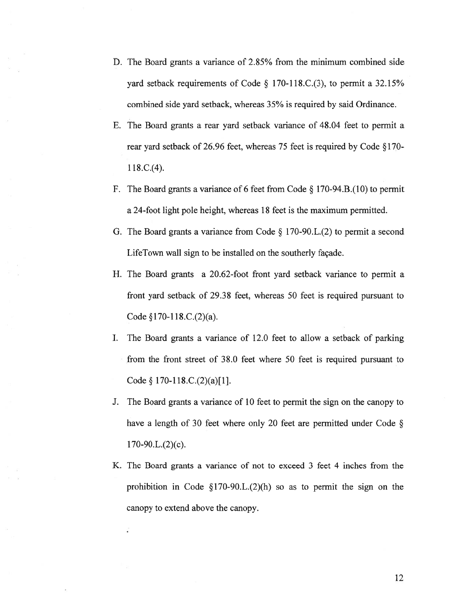- D. The Board grants <sup>a</sup> variance of 2.85% from the minimum combined side yard setback requirements of Code § 170-118.C.(3), to permit a 32.15% combined side yard setback, whereas 35% is required by said Ordinance.
- E. The Board grants <sup>a</sup> rear yard setback variance of 48.04 feet to permit <sup>a</sup> rear yard setback of 26.96 feet, whereas 75 feet is required by Code §170- 1 18.C.(4).
- F. The Board grants <sup>a</sup> variance of <sup>6</sup> feet from Code § 170-94.B.(10) to permit <sup>a</sup> 24-foot light pole height, whereas 18 feet is the maximum permitted.
- G. The Board grants <sup>a</sup> variance from Code § <sup>1</sup> 70-90.L.(2) to permit <sup>a</sup> second LifeTown wall sign to be installed on the southerly façade.
- H. The Board grants <sup>a</sup> 20.62-foot front yard setback variance to permit <sup>a</sup> front yard setback of 29.38 feet, whereas 50 feet is required pursuan<sup>t</sup> to Code §170-118.C.(2)(a).
- I. The Board grants <sup>a</sup> variance of 12.0 feet to allow <sup>a</sup> setback of parking from the front street of 38.0 feet where 50 feet is required pursuan<sup>t</sup> to Code § 170-118.C.(2)(a)[1].
- J. The Board grants <sup>a</sup> variance of 10 feet to permit the sign on the canopy to have a length of 30 feet where only 20 feet are permitted under Code  $\S$  $170-90.L.(2)(c).$
- K. The Board grants <sup>a</sup> variance of not to exceed 3 feet 4 inches from the prohibition in Code  $\S170-90.L.(2)$  so as to permit the sign on the canopy to extend above the canopy.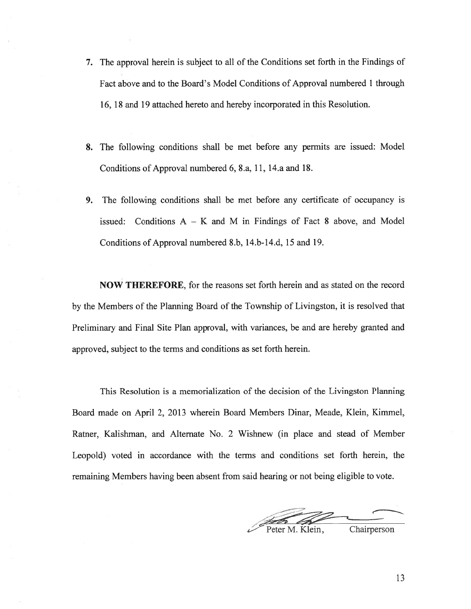- 7. The approval herein is subject to all of the Conditions set forth in the Findings of Fact above and to the Board's Model Conditions of Approval numbered 1 through 16, 18 and 19 attached hereto and hereby incorporated in this Resolution.
- 8. The following conditions shall be met before any permits are issued: Model Conditions of Approval numbered 6, 8.a, 11, 14.a and 18.
- 9. The following conditions shall be met before any certificate of occupancy is issued: Conditions  $A - K$  and M in Findings of Fact 8 above, and Model Conditions of Approval numbered 8.b, 14.b-14.d, 15 and 19.

NOW THEREFORE, for the reasons set forth herein and as stated on the record by the Members of the Planning Board of the Township of Livingston, it is resolved that Preliminary and Final Site Plan approval, with variances, be and are hereby granted and approved, subject to the terms and conditions as set forth herein.

This Resolution is <sup>a</sup> memorialization of the decision of the Livingston Planning Board made on April 2, 2013 wherein Board Members Dinar, Meade, Klein. Kimmel, Ratner, Kalishman, and Alternate No. 2 Wishnew (in place and stead of Member Leopold) voted in accordance with the terms and conditions set forth herein, the remaining Members having been absent from said hearing or not being eligible to vote.

 -• - --•— -\_\_\_\_\_\_\_\_\_\_\_\_\_\_\_\_\_\_\_\_\_\_\_ Peter M. Klein, Chairperson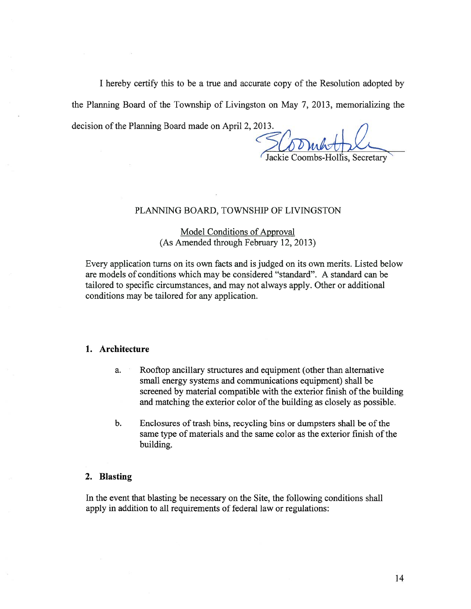I hereby certify this to be <sup>a</sup> true and accurate copy of the Resolution adopted by the Planning Board of the Township of Livingston on May 7, 2013, memorializing the decision of the Planning Board made on April 2, 2013.

# Jackie Coombs-Hollis, Secretary

## PLANNING BOARD, TOWNSHIP OF LIVINGSTON

# Model Conditions of Approval (As Amended through February 12, 2013)

Every application turns on its own facts and is judged on its own merits. Listed below are models of conditions which may be considered "standard". A standard can be tailored to specific circumstances, and may not always apply. Other or additional conditions may be tailored for any application.

## 1. Architecture

- a. Rooftop ancillary structures and equipment (other than alternative small energy systems and communications equipment) shall be screened by material compatible with the exterior finish of the building and matching the exterior color of the building as closely as possible.
- b. Enclosures of trash bins, recycling bins or dumpsters shall be of the same type of materials and the same color as the exterior finish of the building.

### 2. Blasting

In the event that blasting be necessary on the Site, the following conditions shall apply in addition to all requirements of federal law or regulations: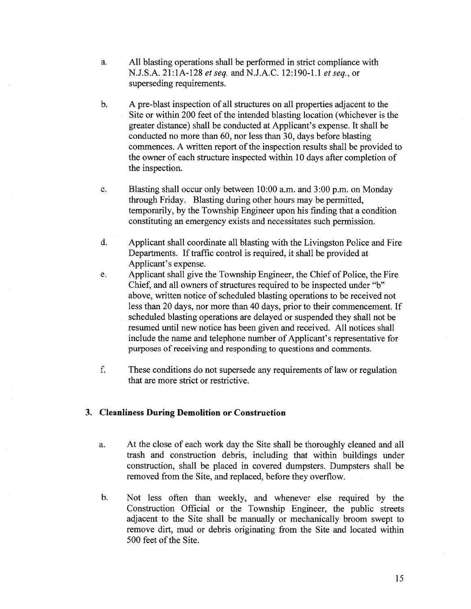- a. All blasting operations shall be performed in strict compliance with N.J.S.A. 21:1A-128 et seq. and N.J.A.C. 12:190-1.1 et seq., or superseding requirements.
- b. A pre-blast inspection of all structures on all properties adjacent to the Site or within 200 feet of the intended blasting location (whichever is the greater distance) shall be conducted at Applicant's expense. It shall be conducted no more than 60, nor less than 30, days before blasting commences. A written repor<sup>t</sup> of the inspection results shall be provided to the owner of each structure inspected within 10 days after completion of the inspection.
- c. Blasting shall occur only between 10:00 a.m. and 3:00 p.m. on Monday through Friday. Blasting during other hours may be permitted, temporarily, by the Township Engineer upon his finding that <sup>a</sup> condition constituting an emergency exists and necessitates such permission.
- d. Applicant shall coordinate all blasting with the Livingston Police and Fire Departments. If traffic control is required. it shall be provided at Applicant's expense.
- e. Applicant shall give the Township Engineer, the Chief of Police, the Fire Chief, and all owners of structures required to be inspected under "b" above, written notice of scheduled blasting operations to be received not less than 20 days, nor more than 40 days, prior to their commencement. If scheduled blasting operations are delayed or suspended they shall not be resumed until new notice has been given and received. All notices shall include the name and telephone number of Applicant's representative for purposes of receiving and responding to questions and comments.
- f. These conditions do not supersede any requirements of law or regulation that are more strict or restrictive.

# 3. Cleanliness During Demolition or Construction

- a. At the close of each work day the Site shall be thoroughly cleaned and all trash and construction debris, including that within buildings under construction, shall be placed in covered dumpsters. Dumpsters shall be removed from the Site, and replaced, before they overflow.
- b. Not less often than weekly, and whenever else required by the Construction Official or the Township Engineer, the public streets adjacent to the Site shall be manually or mechanically broom swep<sup>t</sup> to remove dirt, mud or debris originating from the Site and located within 500 feet of the Site.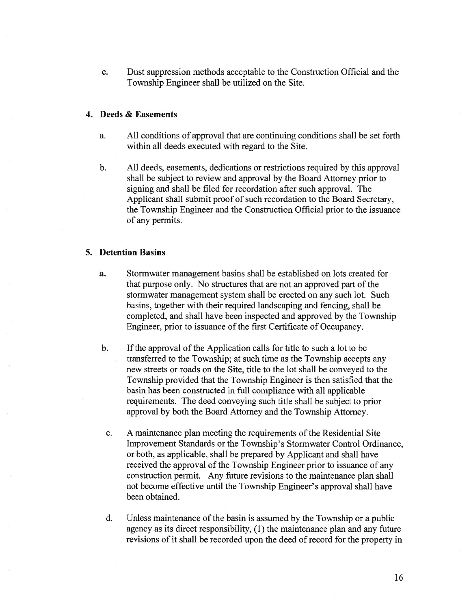c. Dust suppression methods acceptable to the Construction Official and the Township Engineer shall be utilized on the Site.

# 4. Deeds & Easements

- a. All conditions of approval that are continuing conditions shall be set forth within all deeds executed with regard to the Site.
- b. All deeds, easements, dedications or restrictions required by this approval shall be subject to review and approval by the Board Attorney prior to signing and shall be filed for recordation after such approval. The Applicant shall submit proof of such recordation to the Board Secretary, the Township Engineer and the Construction Official prior to the issuance of any permits.

# 5. Detention Basins

- a. Stormwater managemen<sup>t</sup> basins shall be established on lots created for that purpose only. No structures that are not an approved par<sup>t</sup> of the stormwater managemen<sup>t</sup> system shall be erected on any such lot. Such basins, together with their required landscaping and fencing, shall be completed, and shall have been inspected and approved by the Township Engineer, prior to issuance of the first Certificate of Occupancy.
- b. If the approval of the Application calls for title to such a lot to be transferred to the Township; at such time as the Township accepts any new streets or roads on the Site, title to the lot shall be conveyed to the Township provided that the Township Engineer is then satisfied that the basin has been constructed in full compliance with all applicable requirements. The deed conveying such title shall be subject to prior approval by both the Board Attorney and the Township Attorney.
	- c. A maintenance plan meeting the requirements of the Residential Site Improvement Standards or the Township's Stormwater Control Ordinance, or both, as applicable, shall be prepared by Applicant and shall have received the approval of the Township Engineer prior to issuance of any construction permit. Any future revisions to the maintenance plan shall not become effective until the Township Engineer's approval shall have been obtained.
	- d. Unless maintenance ofthe basin is assumed by the Township or <sup>a</sup> public agency as its direct responsibility, (1) the maintenance plan and any future revisions of it shall be recorded upon the deed of record for the property in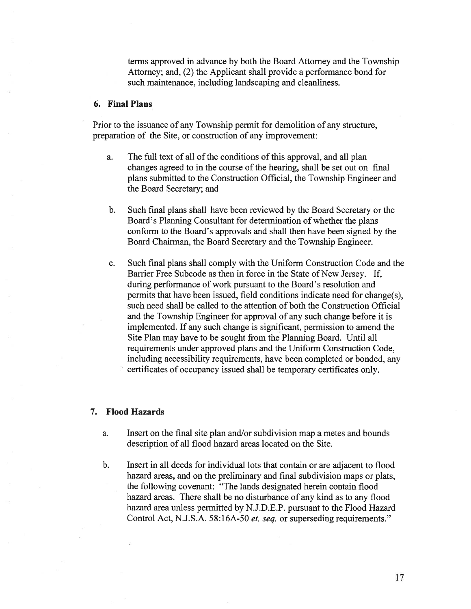terms approved in advance by both the Board Attorney and the Township Attorney; and, (2) the Applicant shall provide <sup>a</sup> performance bond for such maintenance, including landscaping and cleanliness.

# 6. Final Plans

Prior to the issuance of any Township permit for demolition of any structure, preparation of the Site, or construction of any improvement:

- a. The full text of all of the conditions of this approval, and all plan changes agreed to in the course of the hearing, shall be set out on final plans submitted to the Construction Official, the Township Engineer and the Board Secretary; and
- b. Such final plans shall have been reviewed by the Board Secretary or the Board's Planning Consultant for determination of whether the plans conform to the Board's approvals and shall then have been signed by the Board Chairman, the Board Secretary and the Township Engineer.
- c. Such final plans shall comply with the Uniform Construction Code and the Barrier Free Subcode as then in force in the State of New Jersey. If, during performance of work pursuan<sup>t</sup> to the Board's resolution and permits that have been issued, field conditions indicate need for change(s), such need shall be called to the attention of both the Construction Official and the Township Engineer for approval of any such change before it is implemented. If any such change is significant, permission to amend the Site Plan may have to be sought from the Planning Board. Until all requirements under approved plans and the Uniform Construction Code, including accessibility requirements, have been completed or bonded, any certificates of occupancy issued shall be temporary certificates only.

# 7. Flood Hazards

- a. Insert on the final site plan and/or subdivision map <sup>a</sup> metes and bounds description of all flood hazard areas located on the Site.
- b. Insert in all deeds for individual lots that contain or are adjacent to flood hazard areas, and on the preliminary and final subdivision maps or plats, the following covenant: "The lands designated herein contain flood hazard areas. There shall be no disturbance of any kind as to any flood hazard area unless permitted by N.J.D.E.P. pursuan<sup>t</sup> to the Flood Hazard Control Act, N.J.S.A. 58:16A-50 et. seq. or superseding requirements."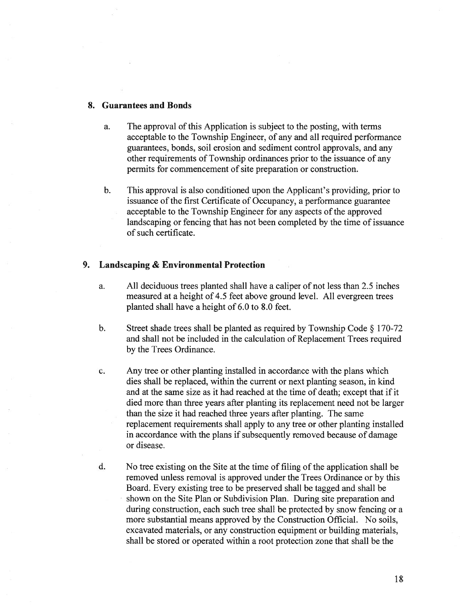### 8. Guarantees and Bonds

- a. The approval of this Application is subject to the posting, with terms acceptable to the Township Engineer, of any and all required performance guarantees, bonds, soil erosion and sediment control approvals, and any other requirements of Township ordinances prior to the issuance of any permits for commencement of site preparation or construction.
- b. This approval is also conditioned upon the Applicant's providing, prior to issuance of the first Certificate of Occupancy, a performance guarantee acceptable to the Township Engineer for any aspects of the approved landscaping or fencing that has not been completed by the time of issuance of such certificate.

# 9. Landscaping & Environmental Protection

- a. All deciduous trees planted shall have <sup>a</sup> caliper of not less than 2.5 inches measured at <sup>a</sup> height of 4.5 feet above ground level. All evergreen trees planted shall have <sup>a</sup> height of 6.0 to 8.0 feet.
- b. Street shade trees shall be <sup>p</sup>lanted as required by Township Code § 170-72 and shall not be included in the calculation of Replacement Trees required by the Trees Ordinance.
- c. Any tree or other planting installed in accordance with the plans which dies shall be replaced, within the current or next planting season, in kind and at the same size as it had reached at the time of death; excep<sup>t</sup> that if it died more than three years after planting its replacement need not be larger than the size it had reached three years after planting. The same replacement requirements shall apply to any tree or other planting installed in accordance with the plans if subsequently removed because of damage or disease.
- d. No tree existing on the Site at the time of filing of the application shall be removed unless removal is approved under the Trees Ordinance or by this Board. Every existing tree to be preserved shall be tagged and shall be shown on the Site Plan or Subdivision Plan. During site preparation and during construction, each such tree shall be protected by snow fencing or <sup>a</sup> more substantial means approved by the Construction Official. No soils, excavated materials, or any construction equipment or building materials, shall be stored or operated within <sup>a</sup> root protection zone that shall be the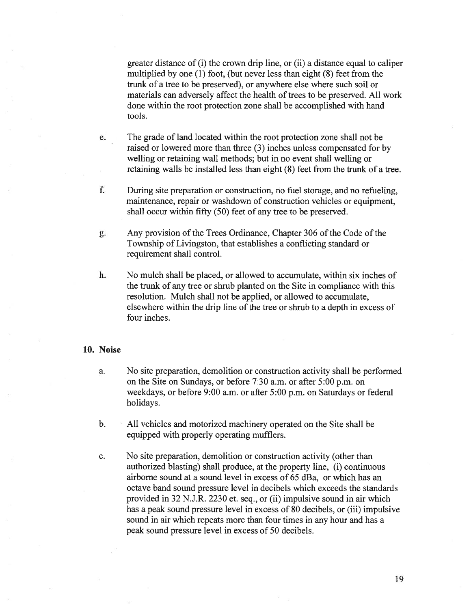greater distance of (i) the crown drip line, or (ii) <sup>a</sup> distance equal to caliper multiplied by one (1) foot, (but never less than eight (8) feet from the trunk of <sup>a</sup> tree to be preserved), or anywhere else where such soil or materials can adversely affect the health of trees to be preserved. All work done within the root protection zone shall be accomplished with hand tools.

- e. The grade of land located within the root protection zone shall not be raised or lowered more than three (3) inches unless compensated for by welling or retaining wall methods; but in no event shall welling or retaining walls be installed less than eight (8) feet from the trunk of <sup>a</sup> tree.
- f. During site preparation or construction, no fuel storage, and no refueling, maintenance, repair or washdown of construction vehicles or equipment, shall occur within fifty (50) feet of any tree to be preserved.
- g. Any provision of the Trees Ordinance, Chapter 306 of the Code of the Township of Livingston, that establishes <sup>a</sup> conflicting standard or requirement shall control.
- h. No mulch shall be placed, or allowed to accumulate, within six inches of the trunk of any tree or shrub planted on the Site in compliance with this resolution. Mulch shall not be applied, or allowed to accumulate, elsewhere within the drip line of the tree or shrub to <sup>a</sup> depth in excess of four inches.

### 10. Noise

- a. No site preparation, demolition or construction activity shall be performed on the Site on Sundays, or before 7:30 a.m. or after 5:00 p.m. on weekdays, or before 9:00 a.m. or after 5:00 p.m. on Saturdays or federal holidays.
- b. All vehicles and motorized machinery operated on the Site shall be equipped with properly operating mufflers.
- c. No site preparation, demolition or construction activity (other than authorized blasting) shall produce, at the property line, (i) continuous airborne sound at <sup>a</sup> sound level in excess of 65 dBa, or which has an octave band sound pressure level in decibels which exceeds the standards provided in 32 N.J.R. 2230 et. seq., or (ii) impulsive sound in air which has <sup>a</sup> peak sound pressure level in excess of 80 decibels, or (iii) impulsive sound in air which repeats more than four times in any hour and has <sup>a</sup> peak sound pressure level in excess of 50 decibels.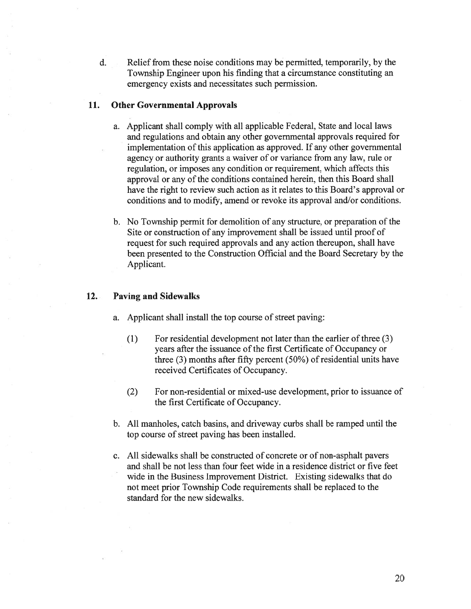d. Relief from these noise conditions may be permitted, temporarily, by the Township Engineer upon his finding that <sup>a</sup> circumstance constituting an emergency exists and necessitates such permission.

# 11. Other Governmental Approvals

- a. Applicant shall comply with all applicable Federal, State and local laws and regulations and obtain any other governmental approvals required for implementation of this application as approved. If any other governmental agency or authority grants <sup>a</sup> waiver of or variance from any law, rule or regulation, or imposes any condition or requirement, which affects this approval or any of the conditions contained herein, then this Board shall have the right to review such action as it relates to this Board's approval or conditions and to modify, amend or revoke its approval and/or conditions.
- b. No Township permit for demolition of any structure, or preparation of the Site or construction of any improvement shall be issued until proof of reques<sup>t</sup> for such required approvals and any action thereupon, shall have been presented to the Construction Official and the Board Secretary by the Applicant.

# 12. Paving and Sidewalks

- a. Applicant shall install the top course of street paving:
	- (1) For residential development not later than the earlier of three (3) years after the issuance of the first Certificate of Occupancy or three (3) months after fifty percen<sup>t</sup> (50%) of residential units have received Certificates of Occupancy.
	- (2) For non-residential or mixed-use development, prior to issuance of the first Certificate of Occupancy.
- b. All manholes, catch basins, and driveway curbs shall be ramped until the top course of street paving has been installed.
- c. All sidewalks shall be constructed of concrete or of non-asphalt payers and shall be not less than four feet wide in <sup>a</sup> residence district or five feet wide in the Business Improvement District. Existing sidewalks that do not meet prior Township Code requirements shall be replaced to the standard for the new sidewalks.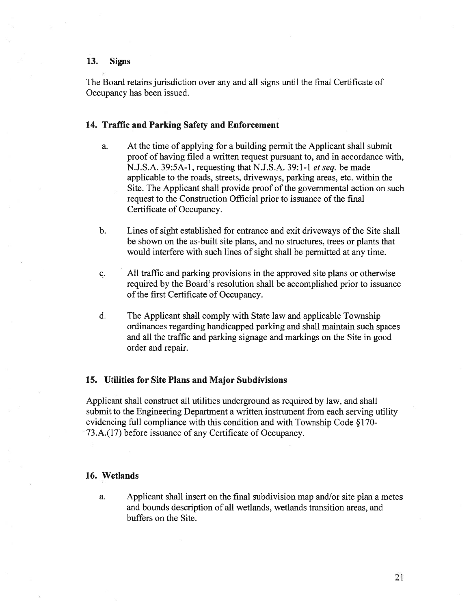### 13. Signs

The Board retains jurisdiction over any and all signs until the final Certificate of Occupancy has been issued.

# 14. Traffic and Parking Safety and Enforcement

- a. At the time of applying for <sup>a</sup> building permit the Applicant shall submit proof of having filed <sup>a</sup> written reques<sup>t</sup> pursuan<sup>t</sup> to, and in accordance with, N.J.S.A. 39:5A-l , requesting that N.J.S.A. 39:1-1 et seq. be made applicable to the roads, streets, driveways, parking areas, etc. within the Site. The Applicant shall provide proof of the governmental action on such reques<sup>t</sup> to the Construction Official prior to issuance of the final Certificate of Occupancy.
- b. Lines of sight established for entrance and exit driveways of the Site shall be shown on the as-built site plans, and no structures, trees or plants that would interfere with such lines of sight shall be permitted at any time.
- c. All traffic and parking provisions in the approved site plans or otherwise required by the Board's resolution shall be accomplished prior to issuance of the first Certificate of Occupancy.
- d. The Applicant shall comply with State law and applicable Township ordinances regarding handicapped parking and shall maintain such spaces and all the traffic and parking signage and markings on the Site in good order and repair.

### 15. Utilities for Site Plans and Major Subdivisions

Applicant shall construct all utilities underground as required by law, and shall submit to the Engineering Department <sup>a</sup> written instrument from each serving utility evidencing full compliance with this condition and with Township Code § 170- 73.A.(17) before issuance of any Certificate of Occupancy.

# 16. Wetlands

a. Applicant shall insert on the final subdivision map and/or site plan <sup>a</sup> metes and bounds description of all wetlands, wetlands transition areas, and buffers on the Site.